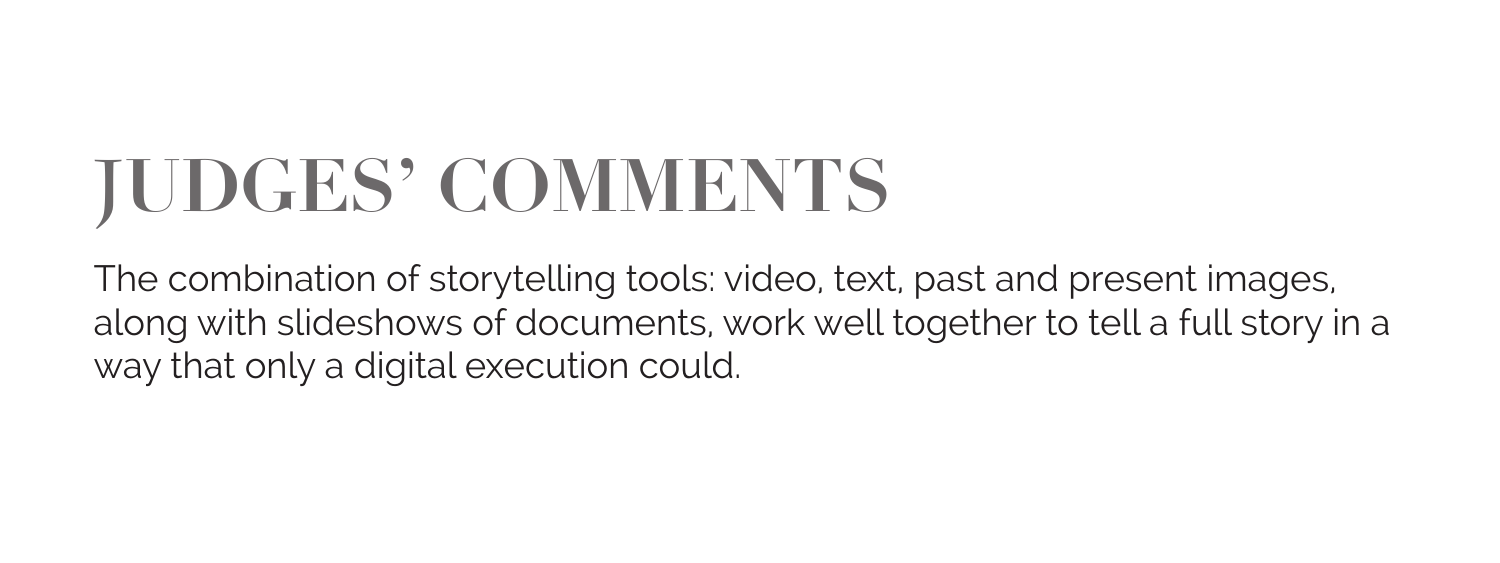## **JUDGES' COMMENTS**

The combination of storytelling tools: video, text, past and present images, along with slideshows of documents, work well together to tell a full story in a way that only a digital execution could.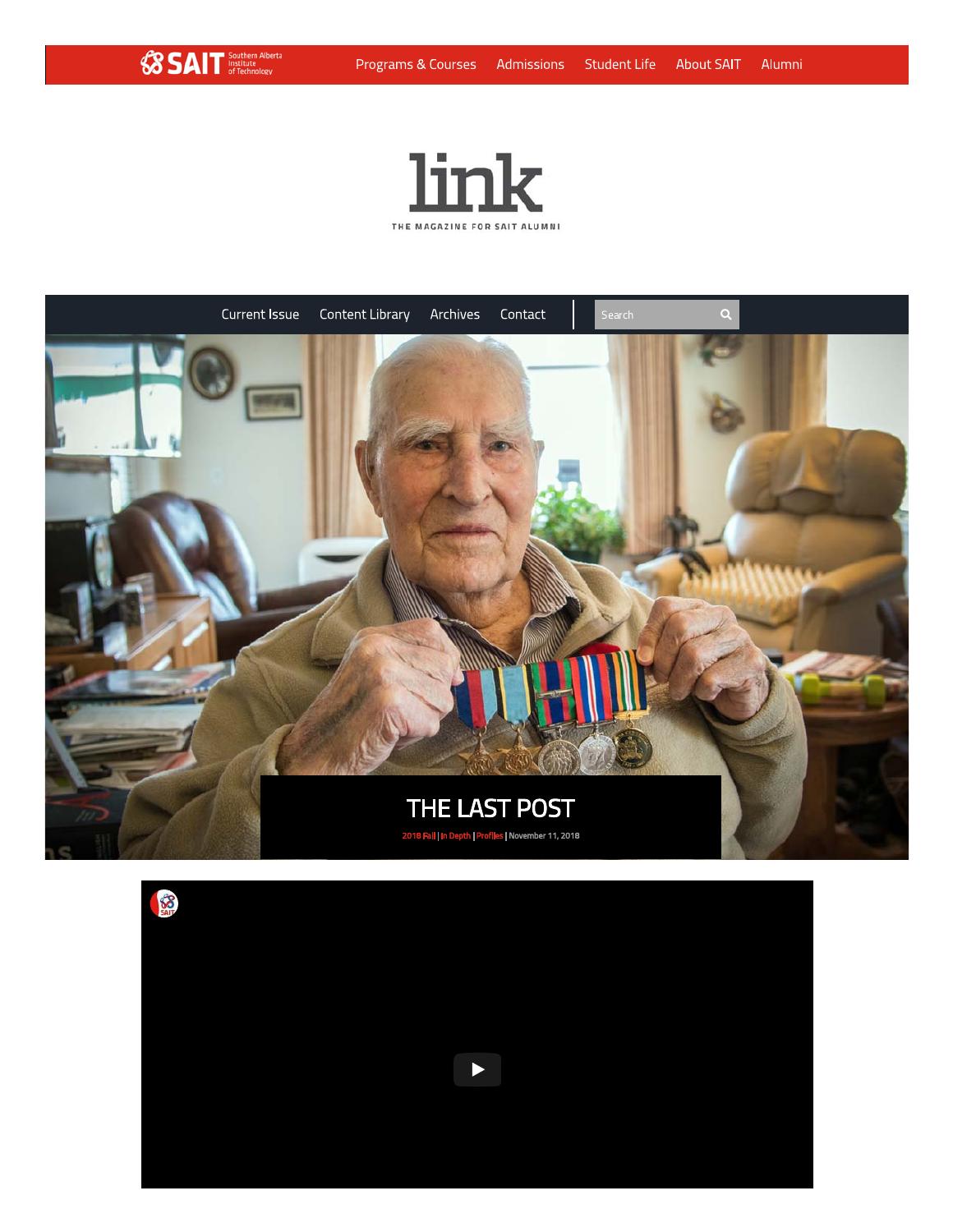

 $\bigotimes$  SAIT  $\frac{S\text{outhera} \text{ Alberta}}{S \text{of Technology}}$ 

THE MAGAZINE FOR SAIT ALUMNI



 $\blacktriangleright$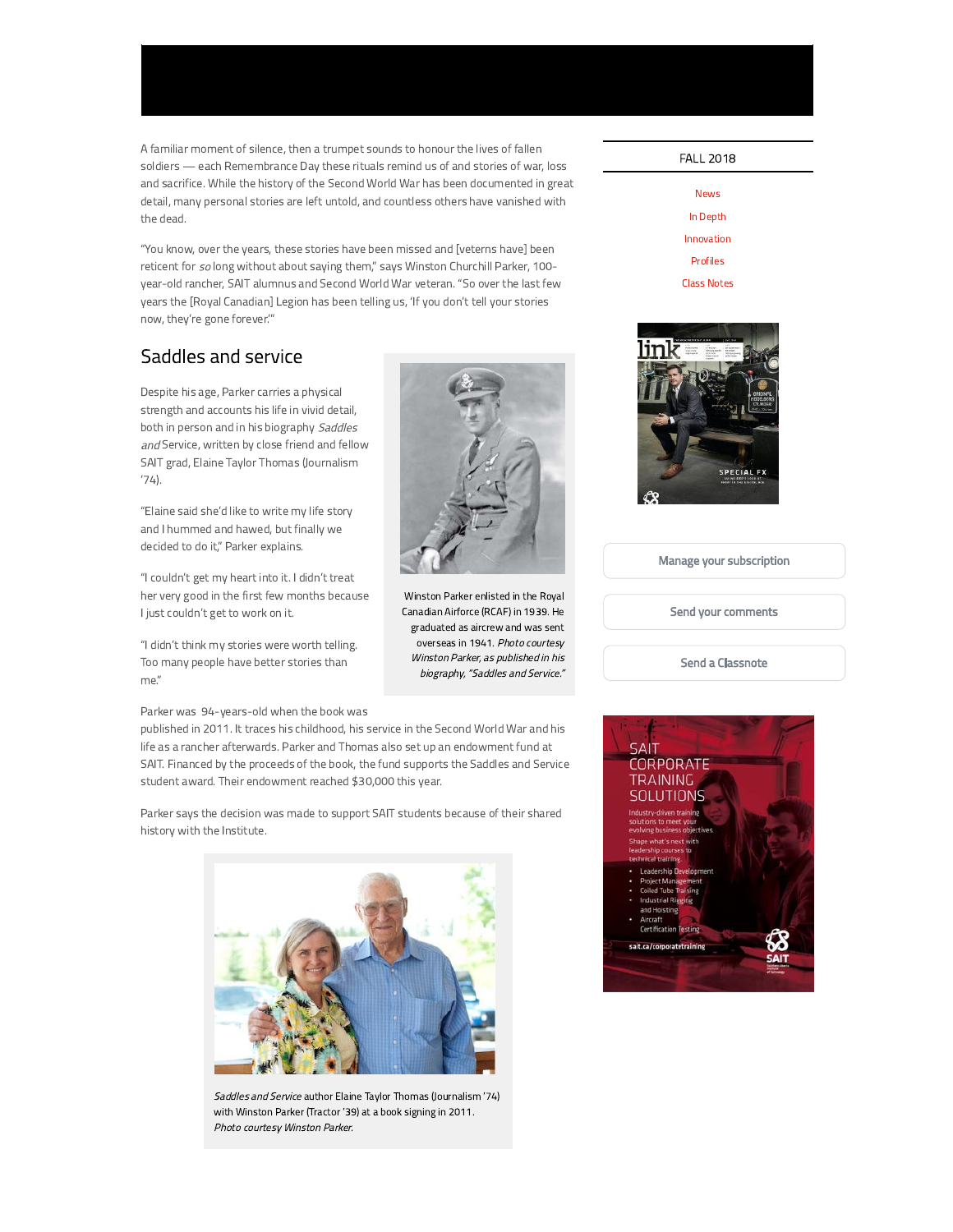A familiar moment of silence, then a trumpet sounds to honour the lives of fallen soldiers - each Remembrance Day these rituals remind us of and stories of war, loss and sacrifice. While the history of the Second World War has been documented in great detail, many personal stories are left untold, and countless others have vanished with the dead.

"You know, over the years, these stories have been missed and [veterns have] been reticent for so long without about saying them," says Winston Churchill Parker, 100year-old rancher, SAIT alumnus and Second World War veteran. "So over the last few years the [Royal Canadian] Legion has been telling us, 'If you don't tell your stories now, they're gone forever."

#### Saddles and service

Despite his age, Parker carries a physical strength and accounts his life in vivid detail, both in person and in his biography Saddles and Service, written by close friend and fellow SAIT grad, Elaine Taylor Thomas (Journalism  $'74$ ).

"Elaine said she'd like to write my life story and I hummed and hawed, but finally we decided to do it," Parker explains.

"I couldn't get my heart into it. I didn't treat her very good in the first few months because I just couldn't get to work on it.

"I didn't think my stories were worth telling. Too many people have better stories than me."

Parker was 94-years-old when the book was

published in 2011. It traces his childhood, his service in the Second World War and his life as a rancher afterwards. Parker and Thomas also set up an endowment fund at SAIT. Financed by the proceeds of the book, the fund supports the Saddles and Service student award. Their endowment reached \$30,000 this year.

Parker says the decision was made to support SAIT students because of their shared history with the Institute.



Saddles and Service author Elaine Taylor Thomas (Journalism '74) with Winston Parker (Tractor '39) at a book signing in 2011. Photo courtesy Winston Parker.



Winston Parker enlisted in the Royal Canadian Airforce (RCAF) in 1939. He graduated as aircrew and was sent overseas in 1941. Photo courtesy Winston Parker, as published in his biography, "Saddles and Service."



| News        |
|-------------|
| In Depth    |
| Innovation  |
| Profiles    |
| Class Notes |



Manage your subscription

Send your comments

Send a Classnote

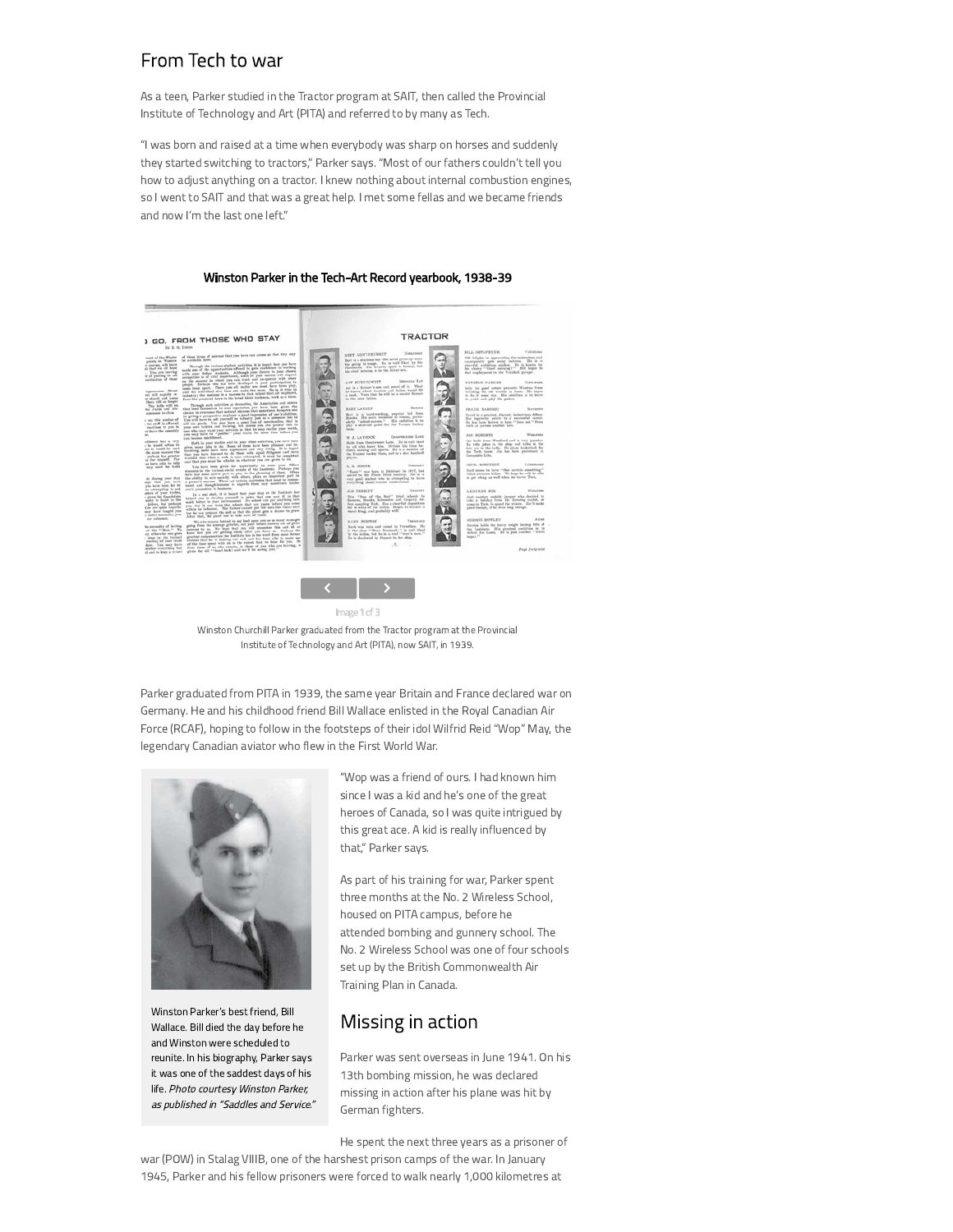#### From Tech to war

As a teen, Parker studied in the Tractor program at SAIT, then called the Provincial Institute of Technology and Art (PITA) and referred to by many as Tech.

"I was born and raised at a time when everybody was sharp on horses and suddenly they started switching to tractors," Parker says. "Most of our fathers couldn't tell you how to adjust anything on a tractor. I knew nothing about internal combustion engines, so I went to SAIT and that was a great help. I met some fellas and we became friends and now I'm the last one left."

# Winston Parker in the Tech-Art Record yearbook, 1938-39 **1 GO, FROM THOSE WHO STAY** TRACTOR

Image 1 of 3 Winston Churchill Parker graduated from the Tractor program at the Provincial Institute of Technology and Art (PITA), now SAIT, in 1939.

Parker graduated from PITA in 1939, the same year Britain and France declared war on Germany. He and his childhood friend Bill Wallace enlisted in the Royal Canadian Air Force (RCAF), hoping to follow in the footsteps of their idol Wilfrid Reid "Wop" May, the legendary Canadian aviator who flew in the First World War.



Winston Parker's best friend, Bill Wallace. Bill died the day before he and Winston were scheduled to reunite. In his biography, Parker says it was one of the saddest days of his life. Photo courtesy Winston Parker, as published in "Saddles and Service."

"Wop was a friend of ours. I had known him since I was a kid and he's one of the great heroes of Canada, so I was quite intrigued by this great ace. A kid is really influenced by that," Parker says.

As part of his training for war, Parker spent three months at the No. 2 Wireless School, housed on PITA campus, before he attended bombing and gunnery school. The No. 2 Wireless School was one of four schools set up by the British Commonwealth Air Training Plan in Canada.

#### Missing in action

Parker was sent overseas in June 1941. On his 13th bombing mission, he was declared missing in action after his plane was hit by German fighters.

He spent the next three years as a prisoner of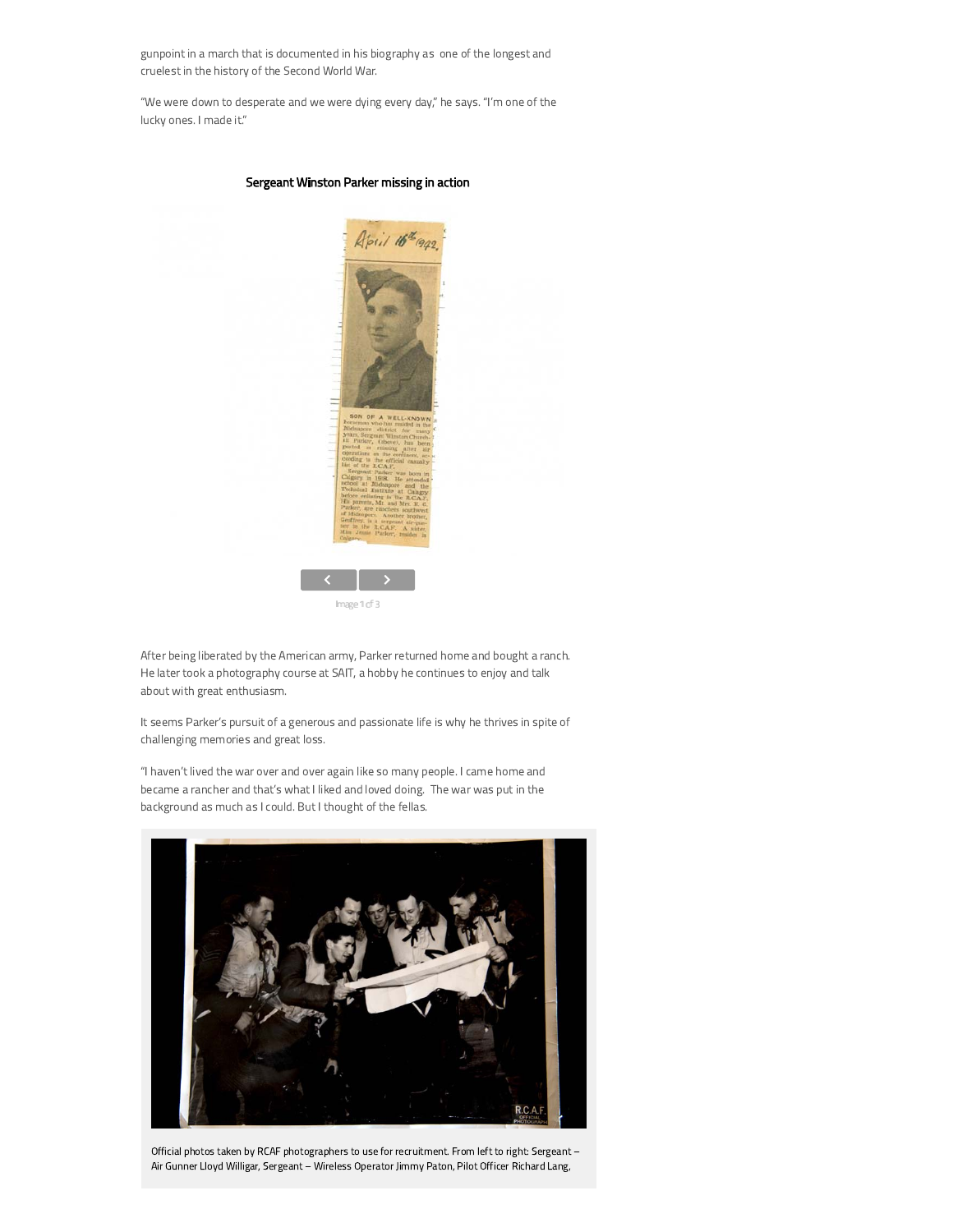gunpoint in a march that is documented in his biography as one of the longest and cruelest in the history of the Second World War.

"We were down to desperate and we were dying every day," he says. "I'm one of the lucky ones. I made it."



#### Sergeant Winston Parker missing in action

After being liberated by the American army, Parker returned home and bought a ranch. He later took a photography course at SAIT, a hobby he continues to enjoy and talk about with great enthusiasm.

It seems Parker's pursuit of a generous and passionate life is why he thrives in spite of challenging memories and great loss.

"I haven't lived the war over and over again like so many people. I came home and became a rancher and that's what I liked and loved doing. The war was put in the background as much as I could. But I thought of the fellas.



Official photos taken by RCAF photographers to use for recruitment. From left to right: Sergeant -Air Gunner Lloyd Willigar, Sergeant - Wireless Operator Jimmy Paton, Pilot Officer Richard Lang,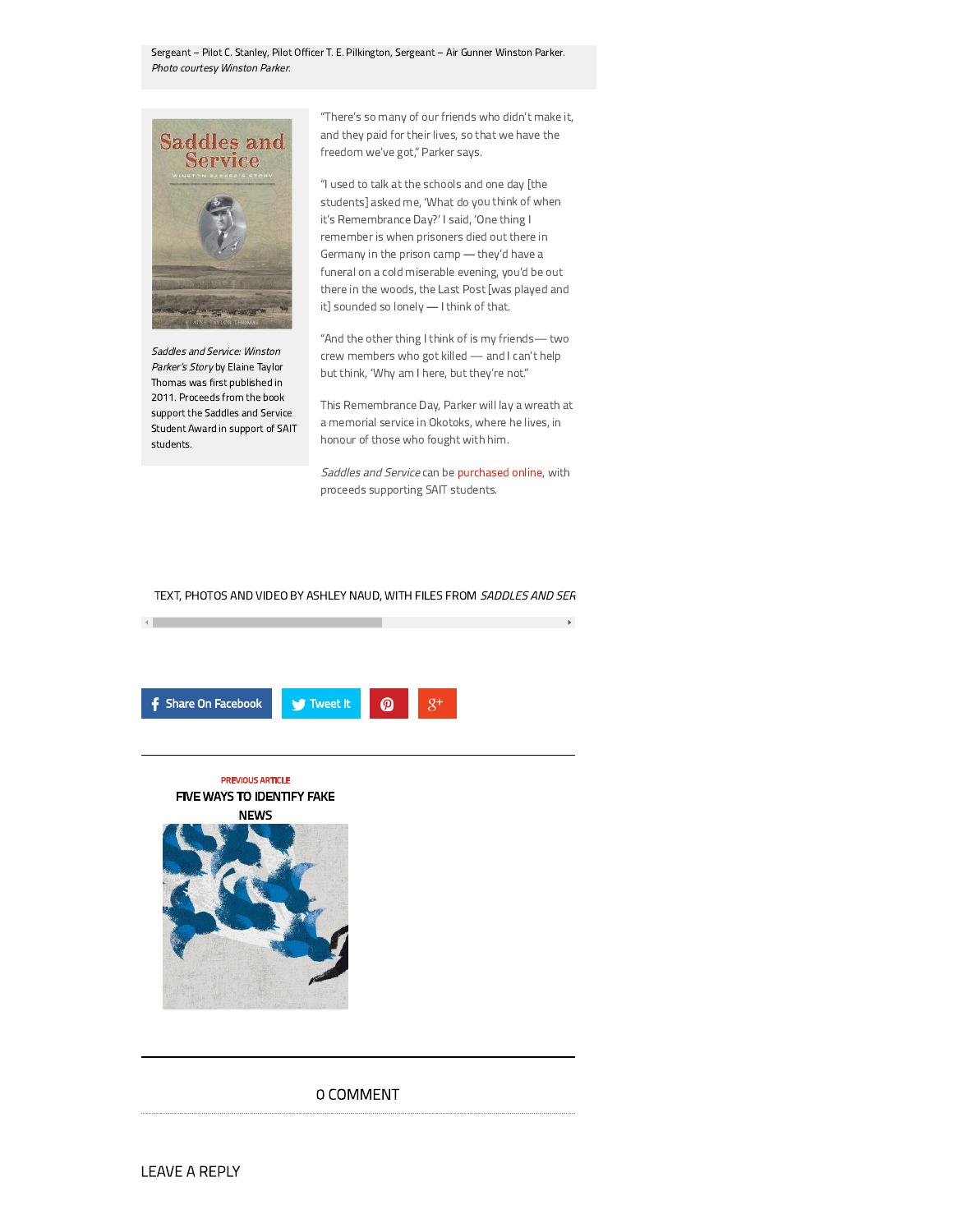Sergeant - Pilot C. Stanley, Pilot Officer T. E. Pilkington, Sergeant - Air Gunner Winston Parker. Photo courtesy Winston Parker.



Saddles and Service: Winston Parker's Story by Elaine Taylor Thomas was first published in 2011. Proceeds from the book support the Saddles and Service Student Award in support of SAIT students.

 $\left\langle \cdot \right\rangle$ 

"There's so many of our friends who didn't make it, and they paid for their lives, so that we have the freedom we've got," Parker says.

"I used to talk at the schools and one day [the students] asked me, 'What do you think of when it's Remembrance Day?' I said, 'One thing I remember is when prisoners died out there in Germany in the prison camp - they'd have a funeral on a cold miserable evening, you'd be out there in the woods, the Last Post [was played and it] sounded so lonely - I think of that.

"And the other thing I think of is my friends- two crew members who got killed - and I can't help but think, 'Why am I here, but they're not."

This Remembrance Day, Parker will lay a wreath at a memorial service in Okotoks, where he lives, in honour of those who fought with him.

Saddles and Service can be purchased online, with proceeds supporting SAIT students.

 $\mathbf{F}$ 

TEXT, PHOTOS AND VIDEO BY ASHLEY NAUD, WITH FILES FROM SADDLES AND SER







#### O COMMENT